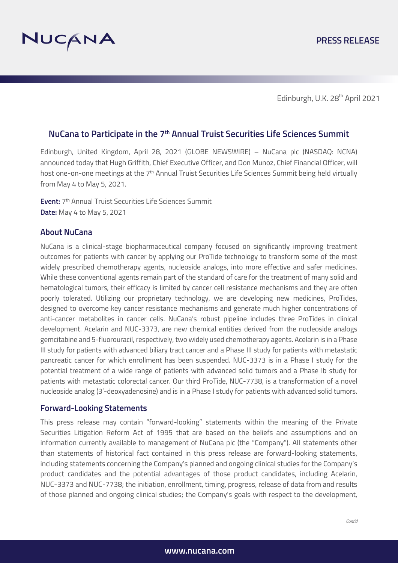

Edinburgh, U.K. 28<sup>th</sup> April 2021

# **NuCana to Participate in the 7th Annual Truist Securities Life Sciences Summit**

Edinburgh, United Kingdom, April 28, 2021 (GLOBE NEWSWIRE) – NuCana plc (NASDAQ: NCNA) announced today that Hugh Griffith, Chief Executive Officer, and Don Munoz, Chief Financial Officer, will host one-on-one meetings at the 7<sup>th</sup> Annual Truist Securities Life Sciences Summit being held virtually from May 4 to May 5, 2021.

**Event:** 7th Annual Truist Securities Life Sciences Summit **Date:** May 4 to May 5, 2021

### **About NuCana**

NuCana is a clinical-stage biopharmaceutical company focused on significantly improving treatment outcomes for patients with cancer by applying our ProTide technology to transform some of the most widely prescribed chemotherapy agents, nucleoside analogs, into more effective and safer medicines. While these conventional agents remain part of the standard of care for the treatment of many solid and hematological tumors, their efficacy is limited by cancer cell resistance mechanisms and they are often poorly tolerated. Utilizing our proprietary technology, we are developing new medicines, ProTides, designed to overcome key cancer resistance mechanisms and generate much higher concentrations of anti-cancer metabolites in cancer cells. NuCana's robust pipeline includes three ProTides in clinical development. Acelarin and NUC-3373, are new chemical entities derived from the nucleoside analogs gemcitabine and 5-fluorouracil, respectively, two widely used chemotherapy agents. Acelarin is in a Phase III study for patients with advanced biliary tract cancer and a Phase III study for patients with metastatic pancreatic cancer for which enrollment has been suspended. NUC-3373 is in a Phase I study for the potential treatment of a wide range of patients with advanced solid tumors and a Phase Ib study for patients with metastatic colorectal cancer. Our third ProTide, NUC-7738, is a transformation of a novel nucleoside analog (3'-deoxyadenosine) and is in a Phase I study for patients with advanced solid tumors.

#### **Forward-Looking Statements**

This press release may contain "forward-looking" statements within the meaning of the Private Securities Litigation Reform Act of 1995 that are based on the beliefs and assumptions and on information currently available to management of NuCana plc (the "Company"). All statements other than statements of historical fact contained in this press release are forward-looking statements, including statements concerning the Company's planned and ongoing clinical studies for the Company's product candidates and the potential advantages of those product candidates, including Acelarin, NUC-3373 and NUC-7738; the initiation, enrollment, timing, progress, release of data from and results of those planned and ongoing clinical studies; the Company's goals with respect to the development,